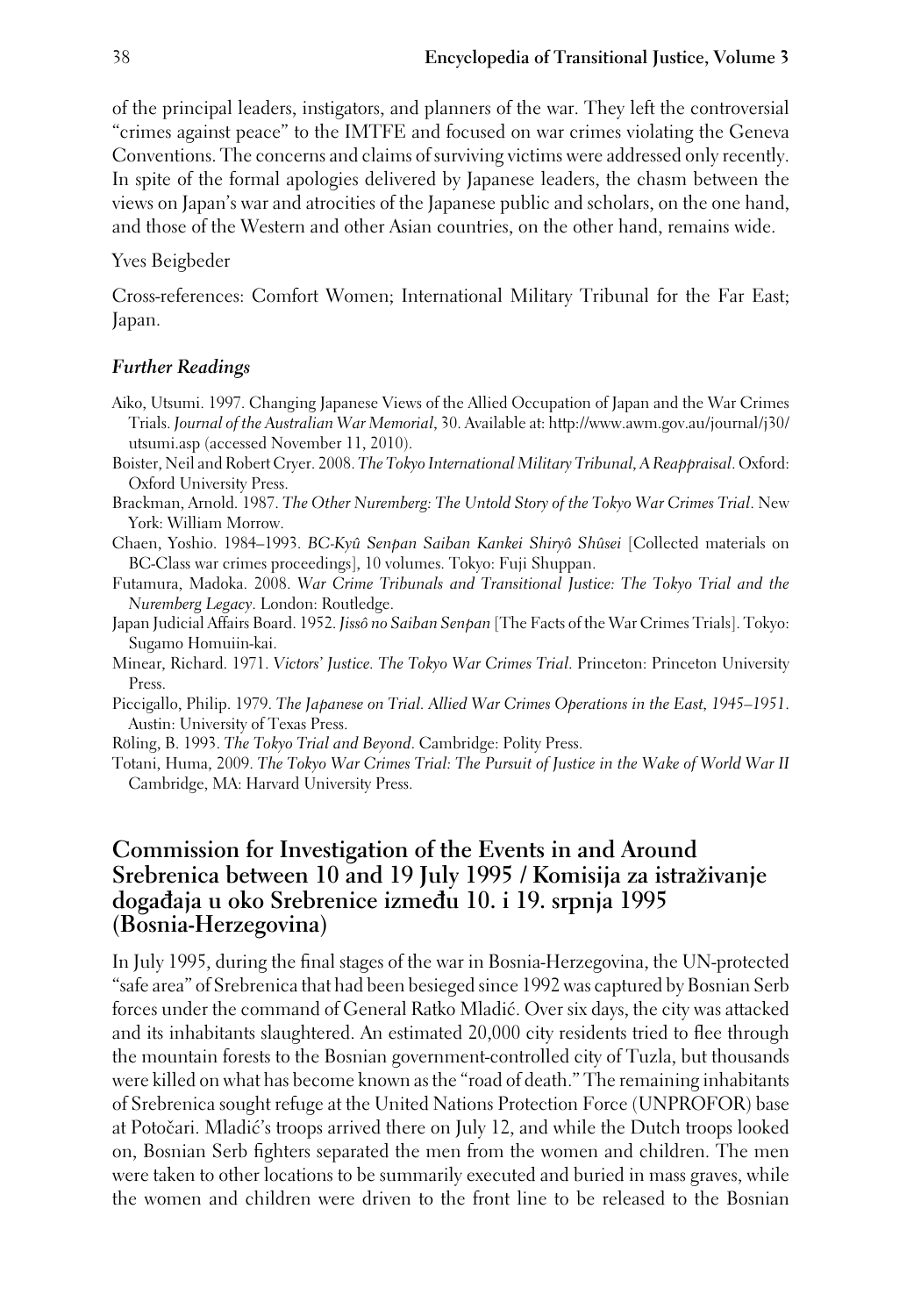of the principal leaders, instigators, and planners of the war. They left the controversial "crimes against peace" to the IMTFE and focused on war crimes violating the Geneva Conventions. The concerns and claims of surviving victims were addressed only recently. In spite of the formal apologies delivered by Japanese leaders, the chasm between the views on Japan's war and atrocities of the Japanese public and scholars, on the one hand, and those of the Western and other Asian countries, on the other hand, remains wide.

# Yves Beigbeder

Cross-references: Comfort Women; International Military Tribunal for the Far East; Japan.

## *Further Readings*

- Aiko, Utsumi. 1997. Changing Japanese Views of the Allied Occupation of Japan and the War Crimes Trials. *Journal of the Australian War Memorial*, 30. Available at: http://www.awm.gov.au/journal/j30/ utsumi.asp (accessed November 11, 2010).
- Boister, Neil and Robert Cryer. 2008. *The Tokyo International Military Tribunal, A Reappraisal*. Oxford: Oxford University Press.
- Brackman, Arnold. 1987. *The Other Nuremberg: The Untold Story of the Tokyo War Crimes Trial*. New York: William Morrow.
- Chaen, Yoshio. 1984–1993. *BC-Kyu Senpan Saiban Kankei Shiry ˆ o Sh ˆ usei ˆ* [Collected materials on BC-Class war crimes proceedings], 10 volumes. Tokyo: Fuji Shuppan.
- Futamura, Madoka. 2008. *War Crime Tribunals and Transitional Justice: The Tokyo Trial and the Nuremberg Legacy*. London: Routledge.
- Japan Judicial Affairs Board. 1952. *Jissô no Saiban Senpan* [The Facts of the War Crimes Trials]. Tokyo: Sugamo Homuiin-kai.
- Minear, Richard. 1971. *Victors' Justice. The Tokyo War Crimes Trial*. Princeton: Princeton University Press.
- Piccigallo, Philip. 1979. *The Japanese on Trial. Allied War Crimes Operations in the East, 1945–1951*. Austin: University of Texas Press.

Röling, B. 1993. The Tokyo Trial and Beyond. Cambridge: Polity Press.

Totani, Huma, 2009. *The Tokyo War Crimes Trial: The Pursuit of Justice in the Wake of World War II* Cambridge, MA: Harvard University Press.

# **Commission for Investigation of the Events in and Around** Srebrenica between 10 and 19 July 1995 / Komisija za istraživanje **doga ¯daja u oko Srebrenice izme ¯du 10. i 19. srpnja 1995 (Bosnia-Herzegovina)**

In July 1995, during the final stages of the war in Bosnia-Herzegovina, the UN-protected "safe area" of Srebrenica that had been besieged since 1992 was captured by Bosnian Serb forces under the command of General Ratko Mladic. Over six days, the city was attacked ´ and its inhabitants slaughtered. An estimated 20,000 city residents tried to flee through the mountain forests to the Bosnian government-controlled city of Tuzla, but thousands were killed on what has become known as the "road of death." The remaining inhabitants of Srebrenica sought refuge at the United Nations Protection Force (UNPROFOR) base at Potočari. Mladić's troops arrived there on July 12, and while the Dutch troops looked on, Bosnian Serb fighters separated the men from the women and children. The men were taken to other locations to be summarily executed and buried in mass graves, while the women and children were driven to the front line to be released to the Bosnian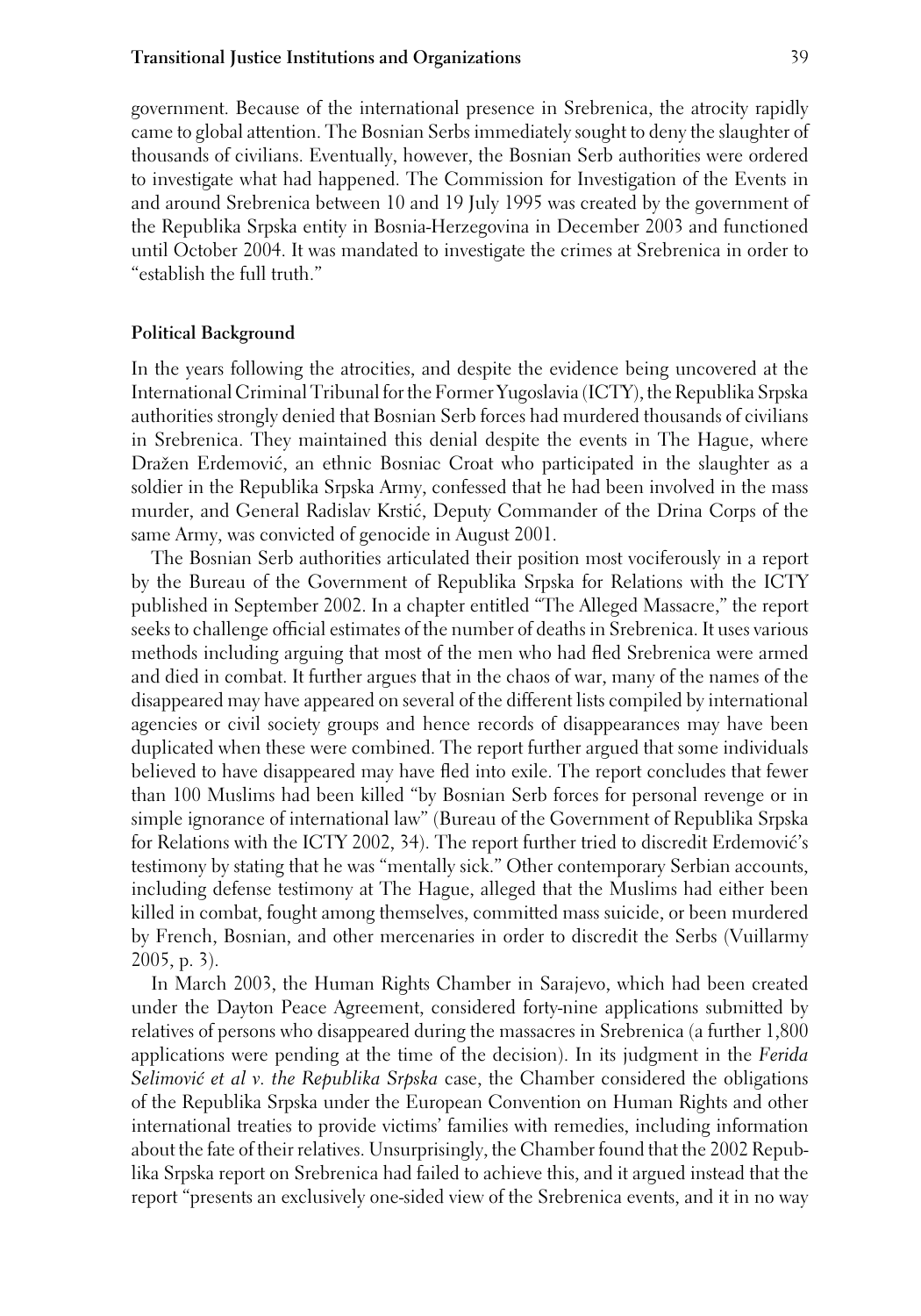#### **Transitional Justice Institutions and Organizations** 39

government. Because of the international presence in Srebrenica, the atrocity rapidly came to global attention. The Bosnian Serbs immediately sought to deny the slaughter of thousands of civilians. Eventually, however, the Bosnian Serb authorities were ordered to investigate what had happened. The Commission for Investigation of the Events in and around Srebrenica between 10 and 19 July 1995 was created by the government of the Republika Srpska entity in Bosnia-Herzegovina in December 2003 and functioned until October 2004. It was mandated to investigate the crimes at Srebrenica in order to "establish the full truth."

#### **Political Background**

In the years following the atrocities, and despite the evidence being uncovered at the International Criminal Tribunal for the Former Yugoslavia (ICTY), the Republika Srpska authorities strongly denied that Bosnian Serb forces had murdered thousands of civilians in Srebrenica. They maintained this denial despite the events in The Hague, where Dražen Erdemović, an ethnic Bosniac Croat who participated in the slaughter as a soldier in the Republika Srpska Army, confessed that he had been involved in the mass murder, and General Radislav Krstic, Deputy Commander of the Drina Corps of the ´ same Army, was convicted of genocide in August 2001.

The Bosnian Serb authorities articulated their position most vociferously in a report by the Bureau of the Government of Republika Srpska for Relations with the ICTY published in September 2002. In a chapter entitled "The Alleged Massacre," the report seeks to challenge official estimates of the number of deaths in Srebrenica. It uses various methods including arguing that most of the men who had fled Srebrenica were armed and died in combat. It further argues that in the chaos of war, many of the names of the disappeared may have appeared on several of the different lists compiled by international agencies or civil society groups and hence records of disappearances may have been duplicated when these were combined. The report further argued that some individuals believed to have disappeared may have fled into exile. The report concludes that fewer than 100 Muslims had been killed "by Bosnian Serb forces for personal revenge or in simple ignorance of international law" (Bureau of the Government of Republika Srpska for Relations with the ICTY 2002, 34). The report further tried to discredit Erdemović's testimony by stating that he was "mentally sick." Other contemporary Serbian accounts, including defense testimony at The Hague, alleged that the Muslims had either been killed in combat, fought among themselves, committed mass suicide, or been murdered by French, Bosnian, and other mercenaries in order to discredit the Serbs (Vuillarmy 2005, p. 3).

In March 2003, the Human Rights Chamber in Sarajevo, which had been created under the Dayton Peace Agreement, considered forty-nine applications submitted by relatives of persons who disappeared during the massacres in Srebrenica (a further 1,800 applications were pending at the time of the decision). In its judgment in the *Ferida Selimović et al v. the Republika Srpska* case, the Chamber considered the obligations of the Republika Srpska under the European Convention on Human Rights and other international treaties to provide victims' families with remedies, including information about the fate of their relatives. Unsurprisingly, the Chamber found that the 2002 Republika Srpska report on Srebrenica had failed to achieve this, and it argued instead that the report "presents an exclusively one-sided view of the Srebrenica events, and it in no way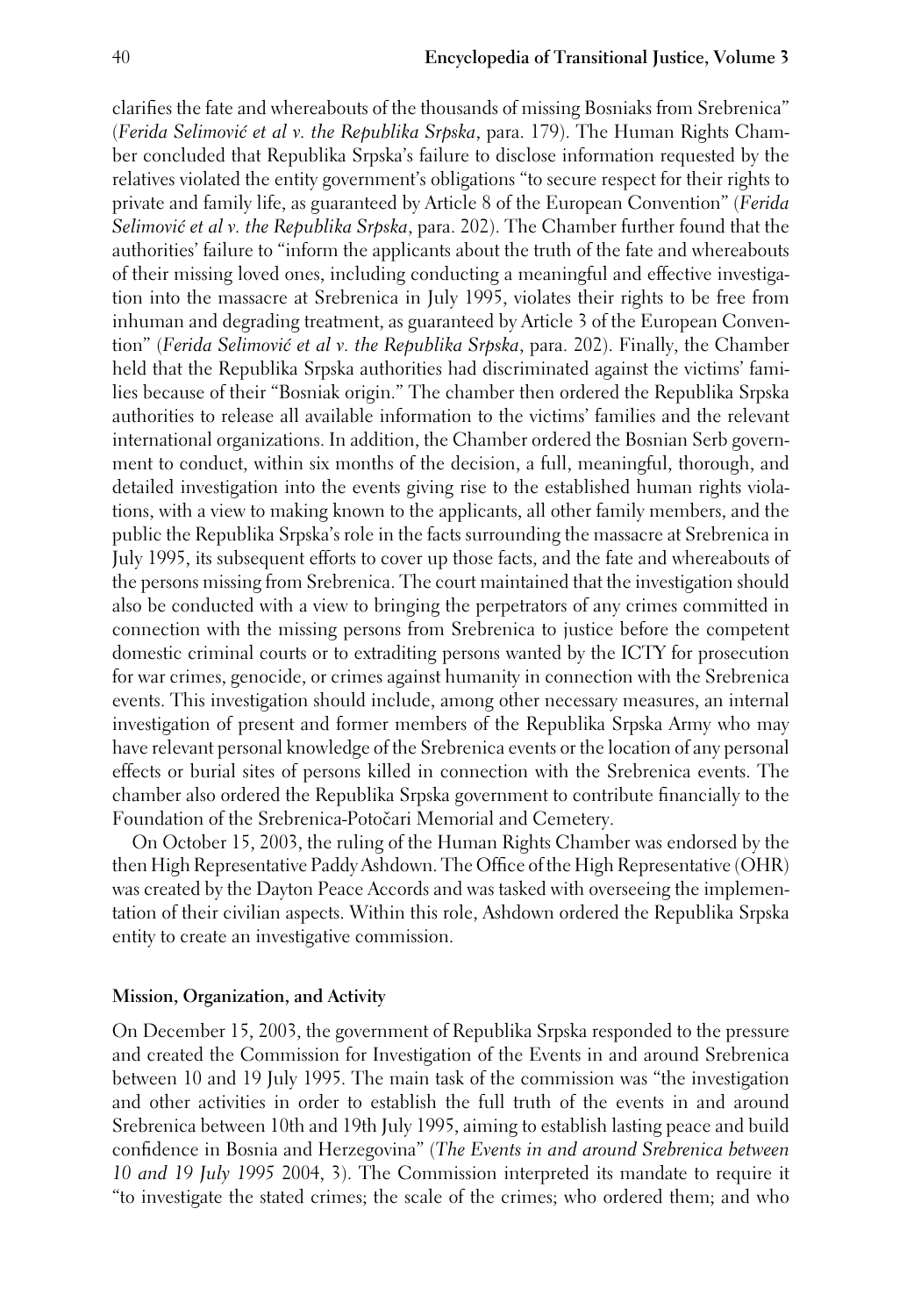clarifies the fate and whereabouts of the thousands of missing Bosniaks from Srebrenica" (*Ferida Selimović et al v. the Republika Srpska*, para. 179). The Human Rights Chamber concluded that Republika Srpska's failure to disclose information requested by the relatives violated the entity government's obligations "to secure respect for their rights to private and family life, as guaranteed by Article 8 of the European Convention" (*Ferida Selimović et al v. the Republika Srpska*, para. 202). The Chamber further found that the authorities' failure to "inform the applicants about the truth of the fate and whereabouts of their missing loved ones, including conducting a meaningful and effective investigation into the massacre at Srebrenica in July 1995, violates their rights to be free from inhuman and degrading treatment, as guaranteed by Article 3 of the European Convention" (*Ferida Selimović et al v. the Republika Srpska*, para. 202). Finally, the Chamber held that the Republika Srpska authorities had discriminated against the victims' families because of their "Bosniak origin." The chamber then ordered the Republika Srpska authorities to release all available information to the victims' families and the relevant international organizations. In addition, the Chamber ordered the Bosnian Serb government to conduct, within six months of the decision, a full, meaningful, thorough, and detailed investigation into the events giving rise to the established human rights violations, with a view to making known to the applicants, all other family members, and the public the Republika Srpska's role in the facts surrounding the massacre at Srebrenica in July 1995, its subsequent efforts to cover up those facts, and the fate and whereabouts of the persons missing from Srebrenica. The court maintained that the investigation should also be conducted with a view to bringing the perpetrators of any crimes committed in connection with the missing persons from Srebrenica to justice before the competent domestic criminal courts or to extraditing persons wanted by the ICTY for prosecution for war crimes, genocide, or crimes against humanity in connection with the Srebrenica events. This investigation should include, among other necessary measures, an internal investigation of present and former members of the Republika Srpska Army who may have relevant personal knowledge of the Srebrenica events or the location of any personal effects or burial sites of persons killed in connection with the Srebrenica events. The chamber also ordered the Republika Srpska government to contribute financially to the Foundation of the Srebrenica-Potočari Memorial and Cemetery.

On October 15, 2003, the ruling of the Human Rights Chamber was endorsed by the then High Representative Paddy Ashdown. The Office of the High Representative (OHR) was created by the Dayton Peace Accords and was tasked with overseeing the implementation of their civilian aspects. Within this role, Ashdown ordered the Republika Srpska entity to create an investigative commission.

## **Mission, Organization, and Activity**

On December 15, 2003, the government of Republika Srpska responded to the pressure and created the Commission for Investigation of the Events in and around Srebrenica between 10 and 19 July 1995. The main task of the commission was "the investigation and other activities in order to establish the full truth of the events in and around Srebrenica between 10th and 19th July 1995, aiming to establish lasting peace and build confidence in Bosnia and Herzegovina" (*The Events in and around Srebrenica between 10 and 19 July 1995* 2004, 3). The Commission interpreted its mandate to require it "to investigate the stated crimes; the scale of the crimes; who ordered them; and who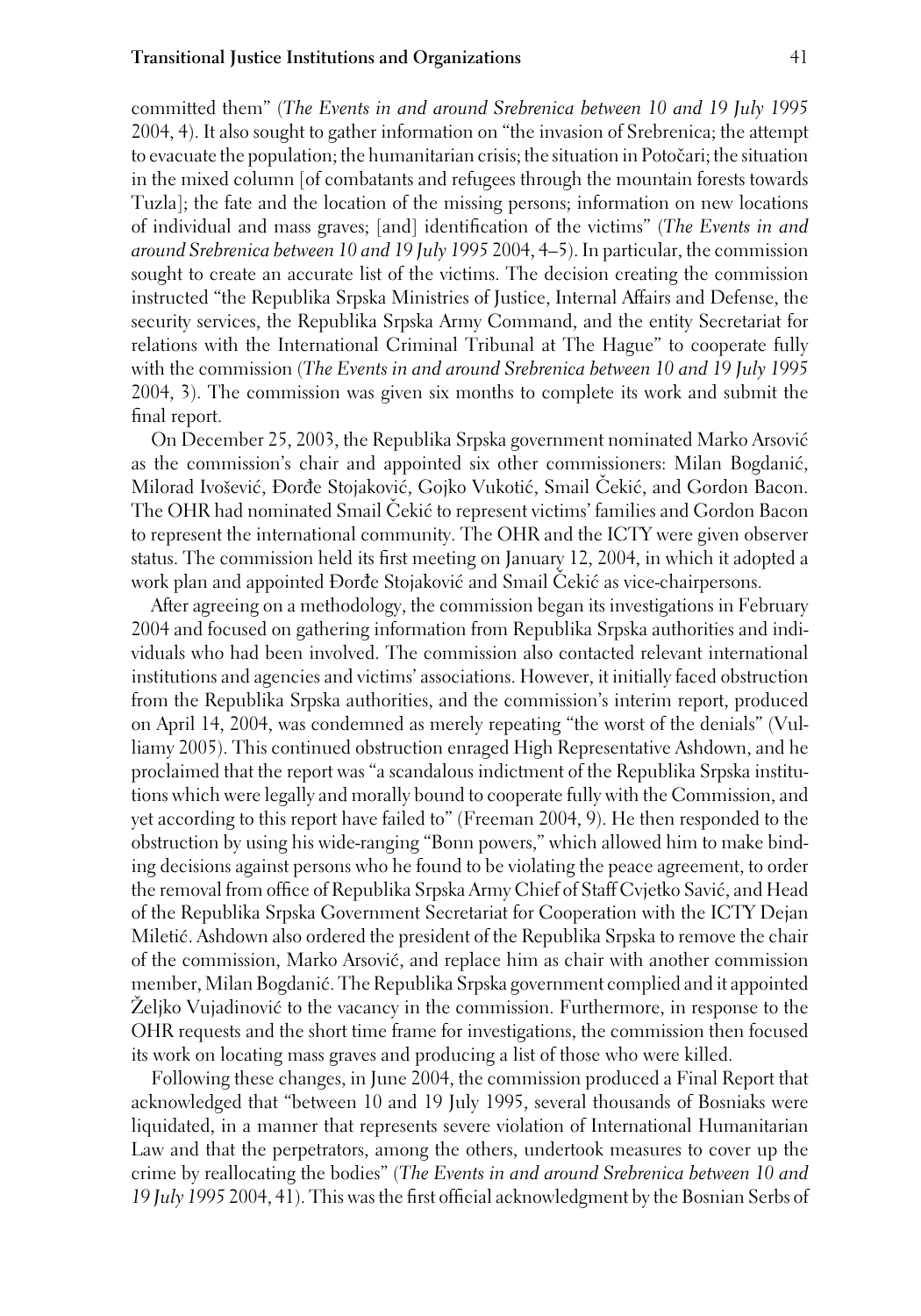#### **Transitional Justice Institutions and Organizations** 41

committed them" (*The Events in and around Srebrenica between 10 and 19 July 1995* 2004, 4). It also sought to gather information on "the invasion of Srebrenica; the attempt to evacuate the population; the humanitarian crisis; the situation in Potočari; the situation in the mixed column [of combatants and refugees through the mountain forests towards Tuzla]; the fate and the location of the missing persons; information on new locations of individual and mass graves; [and] identification of the victims" (*The Events in and around Srebrenica between 10 and 19 July 1995* 2004, 4–5). In particular, the commission sought to create an accurate list of the victims. The decision creating the commission instructed "the Republika Srpska Ministries of Justice, Internal Affairs and Defense, the security services, the Republika Srpska Army Command, and the entity Secretariat for relations with the International Criminal Tribunal at The Hague" to cooperate fully with the commission (*The Events in and around Srebrenica between 10 and 19 July 1995* 2004, 3). The commission was given six months to complete its work and submit the final report.

On December 25, 2003, the Republika Srpska government nominated Marko Arsovic´ as the commission's chair and appointed six other commissioners: Milan Bogdanić, Milorad Ivošević, Đorđe Stojaković, Gojko Vukotić, Smail Čekić, and Gordon Bacon. The OHR had nominated Smail Cekić to represent victims' families and Gordon Bacon to represent the international community. The OHR and the ICTY were given observer status. The commission held its first meeting on January 12, 2004, in which it adopted a work plan and appointed Đorđe Stojaković and Smail Čekić as vice-chairpersons.

After agreeing on a methodology, the commission began its investigations in February 2004 and focused on gathering information from Republika Srpska authorities and individuals who had been involved. The commission also contacted relevant international institutions and agencies and victims' associations. However, it initially faced obstruction from the Republika Srpska authorities, and the commission's interim report, produced on April 14, 2004, was condemned as merely repeating "the worst of the denials" (Vulliamy 2005). This continued obstruction enraged High Representative Ashdown, and he proclaimed that the report was "a scandalous indictment of the Republika Srpska institutions which were legally and morally bound to cooperate fully with the Commission, and yet according to this report have failed to" (Freeman 2004, 9). He then responded to the obstruction by using his wide-ranging "Bonn powers," which allowed him to make binding decisions against persons who he found to be violating the peace agreement, to order the removal from office of Republika Srpska Army Chief of Staff Cvjetko Savic, and Head ´ of the Republika Srpska Government Secretariat for Cooperation with the ICTY Dejan Miletic. Ashdown also ordered the president of the Republika Srpska to remove the chair ´ of the commission, Marko Arsovic, and replace him as chair with another commission ´ member, Milan Bogdanic. The Republika Srpska government complied and it appointed ´ Zeljko Vujadinović to the vacancy in the commission. Furthermore, in response to the OHR requests and the short time frame for investigations, the commission then focused its work on locating mass graves and producing a list of those who were killed.

Following these changes, in June 2004, the commission produced a Final Report that acknowledged that "between 10 and 19 July 1995, several thousands of Bosniaks were liquidated, in a manner that represents severe violation of International Humanitarian Law and that the perpetrators, among the others, undertook measures to cover up the crime by reallocating the bodies" (*The Events in and around Srebrenica between 10 and 19 July 1995* 2004, 41). This was the first official acknowledgment by the Bosnian Serbs of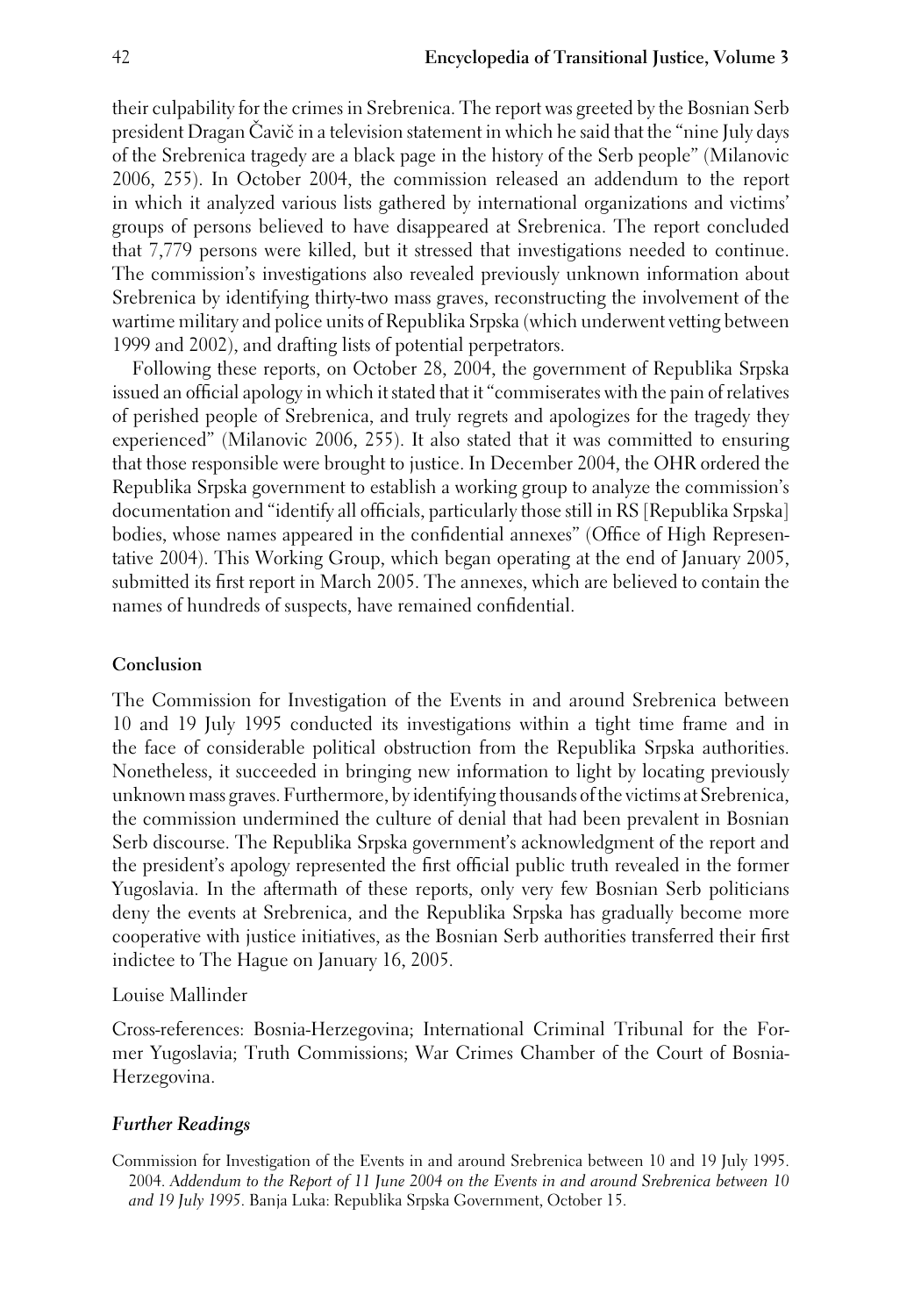their culpability for the crimes in Srebrenica. The report was greeted by the Bosnian Serb president Dragan Čavič in a television statement in which he said that the "nine July days of the Srebrenica tragedy are a black page in the history of the Serb people" (Milanovic 2006, 255). In October 2004, the commission released an addendum to the report in which it analyzed various lists gathered by international organizations and victims' groups of persons believed to have disappeared at Srebrenica. The report concluded that 7,779 persons were killed, but it stressed that investigations needed to continue. The commission's investigations also revealed previously unknown information about Srebrenica by identifying thirty-two mass graves, reconstructing the involvement of the wartime military and police units of Republika Srpska (which underwent vetting between 1999 and 2002), and drafting lists of potential perpetrators.

Following these reports, on October 28, 2004, the government of Republika Srpska issued an official apology in which it stated that it "commiserates with the pain of relatives of perished people of Srebrenica, and truly regrets and apologizes for the tragedy they experienced" (Milanovic 2006, 255). It also stated that it was committed to ensuring that those responsible were brought to justice. In December 2004, the OHR ordered the Republika Srpska government to establish a working group to analyze the commission's documentation and "identify all officials, particularly those still in RS [Republika Srpska] bodies, whose names appeared in the confidential annexes" (Office of High Representative 2004). This Working Group, which began operating at the end of January 2005, submitted its first report in March 2005. The annexes, which are believed to contain the names of hundreds of suspects, have remained confidential.

#### **Conclusion**

The Commission for Investigation of the Events in and around Srebrenica between 10 and 19 July 1995 conducted its investigations within a tight time frame and in the face of considerable political obstruction from the Republika Srpska authorities. Nonetheless, it succeeded in bringing new information to light by locating previously unknown mass graves. Furthermore, by identifying thousands of the victims at Srebrenica, the commission undermined the culture of denial that had been prevalent in Bosnian Serb discourse. The Republika Srpska government's acknowledgment of the report and the president's apology represented the first official public truth revealed in the former Yugoslavia. In the aftermath of these reports, only very few Bosnian Serb politicians deny the events at Srebrenica, and the Republika Srpska has gradually become more cooperative with justice initiatives, as the Bosnian Serb authorities transferred their first indictee to The Hague on January 16, 2005.

#### Louise Mallinder

Cross-references: Bosnia-Herzegovina; International Criminal Tribunal for the Former Yugoslavia; Truth Commissions; War Crimes Chamber of the Court of Bosnia-Herzegovina.

#### *Further Readings*

Commission for Investigation of the Events in and around Srebrenica between 10 and 19 July 1995. 2004. *Addendum to the Report of 11 June 2004 on the Events in and around Srebrenica between 10 and 19 July 1995*. Banja Luka: Republika Srpska Government, October 15.